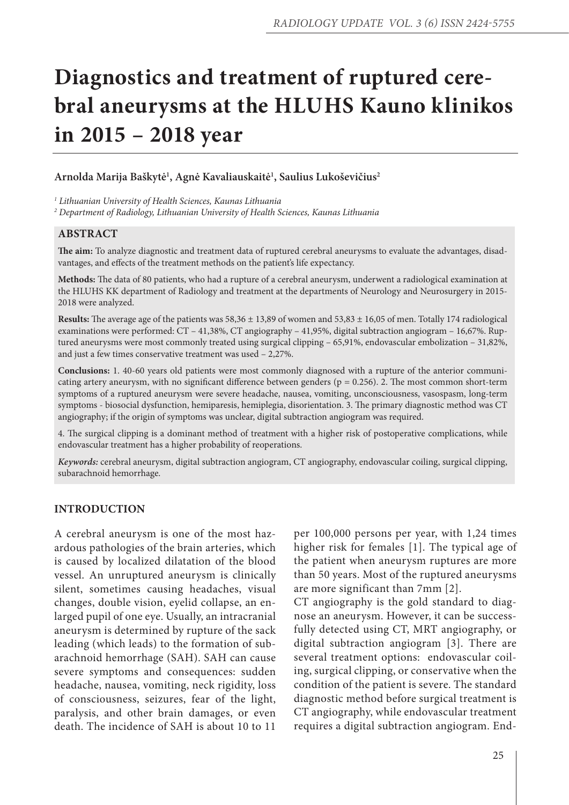# **Diagnostics and treatment of ruptured cerebral aneurysms at the HLUHS Kauno klinikos in 2015 – 2018 year**

# **Arnolda Marija Baškytė1 , Agnė Kavaliauskaitė1 , Saulius Lukoševičius2**

*1 Lithuanian University of Health Sciences, Kaunas Lithuania* 

*2 Department of Radiology, Lithuanian University of Health Sciences, Kaunas Lithuania* 

#### **ABSTRACT**

**The aim:** To analyze diagnostic and treatment data of ruptured cerebral aneurysms to evaluate the advantages, disadvantages, and effects of the treatment methods on the patient's life expectancy.

**Methods:** The data of 80 patients, who had a rupture of a cerebral aneurysm, underwent a radiological examination at the HLUHS KK department of Radiology and treatment at the departments of Neurology and Neurosurgery in 2015- 2018 were analyzed.

**Results:** The average age of the patients was 58,36 ± 13,89 of women and 53,83 ± 16,05 of men. Totally 174 radiological examinations were performed: CT – 41,38%, CT angiography – 41,95%, digital subtraction angiogram – 16,67%. Ruptured aneurysms were most commonly treated using surgical clipping – 65,91%, endovascular embolization – 31,82%, and just a few times conservative treatment was used – 2,27%.

**Conclusions:** 1. 40-60 years old patients were most commonly diagnosed with a rupture of the anterior communicating artery aneurysm, with no significant difference between genders ( $p = 0.256$ ). 2. The most common short-term symptoms of a ruptured aneurysm were severe headache, nausea, vomiting, unconsciousness, vasospasm, long-term symptoms - biosocial dysfunction, hemiparesis, hemiplegia, disorientation. 3. The primary diagnostic method was CT angiography; if the origin of symptoms was unclear, digital subtraction angiogram was required.

4. The surgical clipping is a dominant method of treatment with a higher risk of postoperative complications, while endovascular treatment has a higher probability of reoperations.

*Keywords:* cerebral aneurysm, digital subtraction angiogram, CT angiography, endovascular coiling, surgical clipping, subarachnoid hemorrhage.

### **INTRODUCTION**

A cerebral aneurysm is one of the most hazardous pathologies of the brain arteries, which is caused by localized dilatation of the blood vessel. An unruptured aneurysm is clinically silent, sometimes causing headaches, visual changes, double vision, eyelid collapse, an enlarged pupil of one eye. Usually, an intracranial aneurysm is determined by rupture of the sack leading (which leads) to the formation of subarachnoid hemorrhage (SAH). SAH can cause severe symptoms and consequences: sudden headache, nausea, vomiting, neck rigidity, loss of consciousness, seizures, fear of the light, paralysis, and other brain damages, or even death. The incidence of SAH is about 10 to 11

per 100,000 persons per year, with 1,24 times higher risk for females [1]. The typical age of the patient when aneurysm ruptures are more than 50 years. Most of the ruptured aneurysms are more significant than 7mm [2].

CT angiography is the gold standard to diagnose an aneurysm. However, it can be successfully detected using CT, MRT angiography, or digital subtraction angiogram [3]. There are several treatment options: endovascular coiling, surgical clipping, or conservative when the condition of the patient is severe. The standard diagnostic method before surgical treatment is CT angiography, while endovascular treatment requires a digital subtraction angiogram. End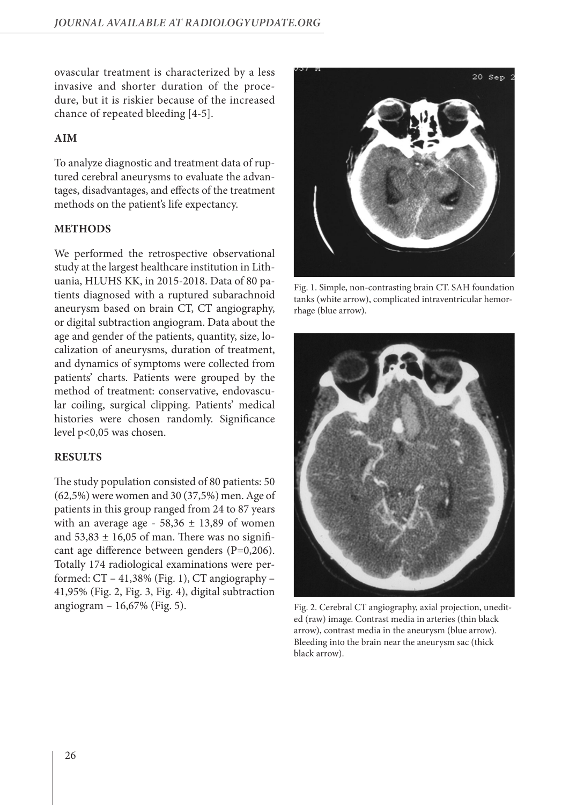ovascular treatment is characterized by a less invasive and shorter duration of the procedure, but it is riskier because of the increased chance of repeated bleeding [4-5].

# **AIM**

To analyze diagnostic and treatment data of ruptured cerebral aneurysms to evaluate the advantages, disadvantages, and effects of the treatment methods on the patient's life expectancy.

# **METHODS**

We performed the retrospective observational study at the largest healthcare institution in Lithuania, HLUHS KK, in 2015-2018. Data of 80 patients diagnosed with a ruptured subarachnoid aneurysm based on brain CT, CT angiography, or digital subtraction angiogram. Data about the age and gender of the patients, quantity, size, localization of aneurysms, duration of treatment, and dynamics of symptoms were collected from patients' charts. Patients were grouped by the method of treatment: conservative, endovascular coiling, surgical clipping. Patients' medical histories were chosen randomly. Significance level p<0,05 was chosen.

# **RESULTS**

The study population consisted of 80 patients: 50 (62,5%) were women and 30 (37,5%) men. Age of patients in this group ranged from 24 to 87 years with an average age -  $58,36 \pm 13,89$  of women and  $53,83 \pm 16,05$  of man. There was no significant age difference between genders (P=0,206). Totally 174 radiological examinations were performed: CT – 41,38% (Fig. 1), CT angiography – 41,95% (Fig. 2, Fig. 3, Fig. 4), digital subtraction angiogram – 16,67% (Fig. 5).



Fig. 1. Simple, non-contrasting brain CT. SAH foundation tanks (white arrow), complicated intraventricular hemorrhage (blue arrow).



Fig. 2. Cerebral CT angiography, axial projection, unedited (raw) image. Contrast media in arteries (thin black arrow), contrast media in the aneurysm (blue arrow). Bleeding into the brain near the aneurysm sac (thick black arrow).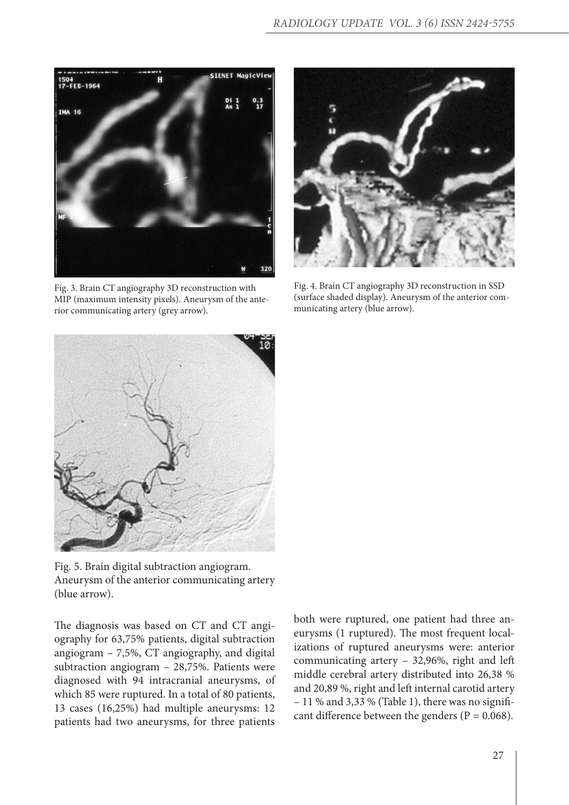

Fig. 3. Brain CT angiography 3D reconstruction with MIP (maximum intensity pixels). Aneurysm of the anterior communicating artery (grey arrow).



Fig. 4. Brain CT angiography 3D reconstruction in SSD (surface shaded display). Aneurysm of the anterior communicating artery (blue arrow).



Fig. 5. Brain digital subtraction angiogram. Aneurysm of the anterior communicating artery (blue arrow).

The diagnosis was based on CT and CT angiography for 63,75% patients, digital subtraction angiogram – 7,5%, CT angiography, and digital subtraction angiogram – 28,75%. Patients were diagnosed with 94 intracranial aneurysms, of which 85 were ruptured. In a total of 80 patients, 13 cases (16,25%) had multiple aneurysms: 12 patients had two aneurysms, for three patients

both were ruptured, one patient had three aneurysms (1 ruptured). The most frequent localizations of ruptured aneurysms were: anterior communicating artery – 32,96%, right and left middle cerebral artery distributed into 26,38 % and 20,89 %, right and left internal carotid artery – 11 % and 3,33 % (Table 1), there was no significant difference between the genders ( $P = 0.068$ ).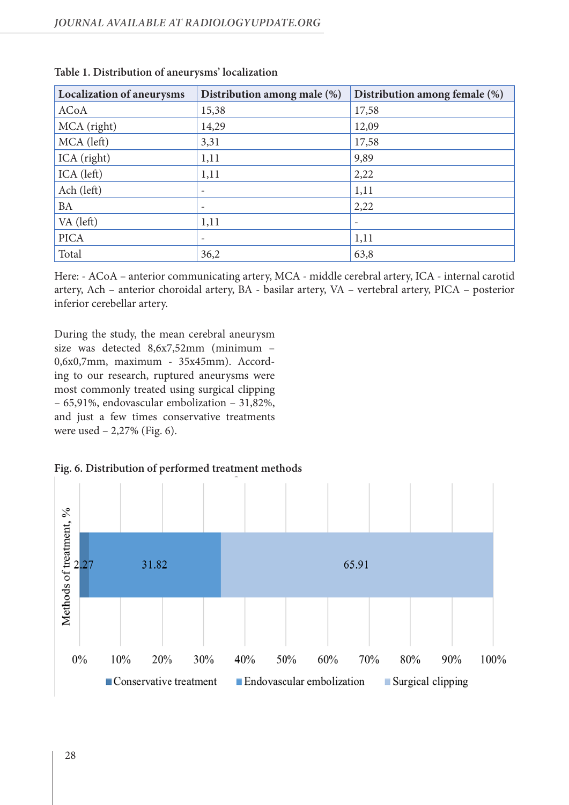| <b>Localization of aneurysms</b> | Distribution among male (%) | Distribution among female (%) |
|----------------------------------|-----------------------------|-------------------------------|
| <b>ACoA</b>                      | 15,38                       | 17,58                         |
| MCA (right)                      | 14,29                       | 12,09                         |
| MCA (left)                       | 3,31                        | 17,58                         |
| ICA (right)                      | 1,11                        | 9,89                          |
| ICA (left)                       | 1,11                        | 2,22                          |
| Ach (left)                       |                             | 1,11                          |
| BA                               |                             | 2,22                          |
| VA (left)                        | 1,11                        |                               |
| <b>PICA</b>                      |                             | 1,11                          |
| Total                            | 36,2                        | 63,8                          |

| Table 1. Distribution of aneurysms' localization |  |
|--------------------------------------------------|--|
|--------------------------------------------------|--|

Here: - ACoA – anterior communicating artery, MCA - middle cerebral artery, ICA - internal carotid artery, Ach – anterior choroidal artery, BA - basilar artery, VA – vertebral artery, PICA – posterior inferior cerebellar artery.

During the study, the mean cerebral aneurysm size was detected 8,6x7,52mm (minimum – 0,6x0,7mm, maximum - 35x45mm). According to our research, ruptured aneurysms were most commonly treated using surgical clipping – 65,91%, endovascular embolization – 31,82%, and just a few times conservative treatments were used – 2,27% (Fig. 6).



**Fig. 6. Distribution of performed treatment methods**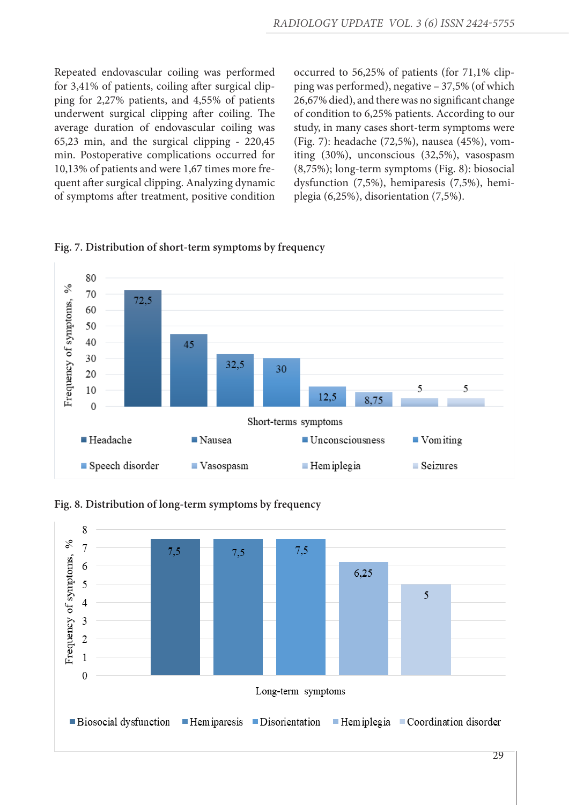Repeated endovascular coiling was performed for 3,41% of patients, coiling after surgical clipping for 2,27% patients, and 4,55% of patients underwent surgical clipping after coiling. The average duration of endovascular coiling was 65,23 min, and the surgical clipping - 220,45 min. Postoperative complications occurred for 10,13% of patients and were 1,67 times more frequent after surgical clipping. Analyzing dynamic of symptoms after treatment, positive condition

occurred to 56,25% of patients (for 71,1% clipping was performed), negative – 37,5% (of which 26,67% died), and there was no significant change of condition to 6,25% patients. According to our study, in many cases short-term symptoms were (Fig. 7): headache (72,5%), nausea (45%), vomiting (30%), unconscious (32,5%), vasospasm (8,75%); long-term symptoms (Fig. 8): biosocial dysfunction (7,5%), hemiparesis (7,5%), hemiplegia (6,25%), disorientation (7,5%).



**Fig. 7. Distribution of short-term symptoms by frequency**

**Fig. 8. Distribution of long-term symptoms by frequency**

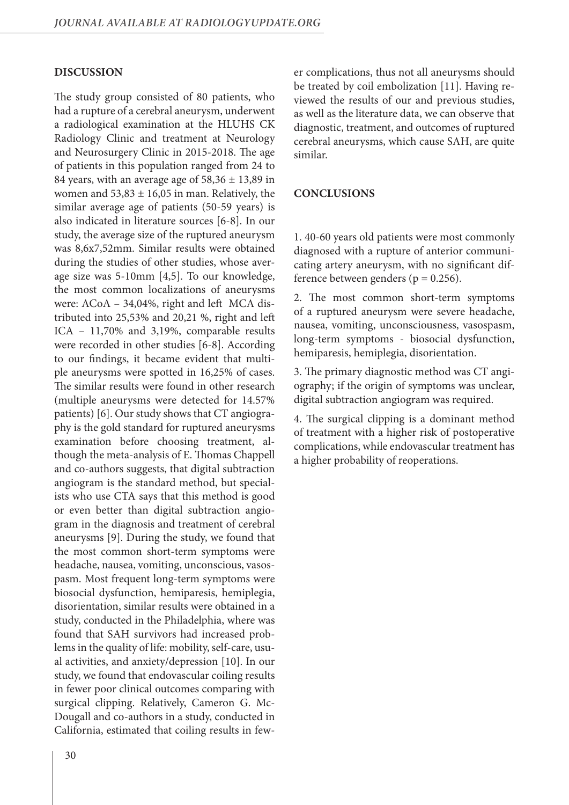# **DISCUSSION**

The study group consisted of 80 patients, who had a rupture of a cerebral aneurysm, underwent a radiological examination at the HLUHS CK Radiology Clinic and treatment at Neurology and Neurosurgery Clinic in 2015-2018. The age of patients in this population ranged from 24 to 84 years, with an average age of  $58,36 \pm 13,89$  in women and  $53,83 \pm 16,05$  in man. Relatively, the similar average age of patients (50-59 years) is also indicated in literature sources [6-8]. In our study, the average size of the ruptured aneurysm was 8,6x7,52mm. Similar results were obtained during the studies of other studies, whose average size was 5-10mm [4,5]. To our knowledge, the most common localizations of aneurysms were: ACoA – 34,04%, right and left MCA distributed into 25,53% and 20,21 %, right and left ICA – 11,70% and 3,19%, comparable results were recorded in other studies [6-8]. According to our findings, it became evident that multiple aneurysms were spotted in 16,25% of cases. The similar results were found in other research (multiple aneurysms were detected for 14.57% patients) [6]. Our study shows that CT angiography is the gold standard for ruptured aneurysms examination before choosing treatment, although the meta-analysis of E. Thomas Chappell and co-authors suggests, that digital subtraction angiogram is the standard method, but specialists who use CTA says that this method is good or even better than digital subtraction angiogram in the diagnosis and treatment of cerebral aneurysms [9]. During the study, we found that the most common short-term symptoms were headache, nausea, vomiting, unconscious, vasospasm. Most frequent long-term symptoms were biosocial dysfunction, hemiparesis, hemiplegia, disorientation, similar results were obtained in a study, conducted in the Philadelphia, where was found that SAH survivors had increased problems in the quality of life: mobility, self-care, usual activities, and anxiety/depression [10]. In our study, we found that endovascular coiling results in fewer poor clinical outcomes comparing with surgical clipping. Relatively, Cameron G. Mc-Dougall and co-authors in a study, conducted in California, estimated that coiling results in fewer complications, thus not all aneurysms should be treated by coil embolization [11]. Having reviewed the results of our and previous studies, as well as the literature data, we can observe that diagnostic, treatment, and outcomes of ruptured cerebral aneurysms, which cause SAH, are quite similar.

### **CONCLUSIONS**

1. 40-60 years old patients were most commonly diagnosed with a rupture of anterior communicating artery aneurysm, with no significant difference between genders ( $p = 0.256$ ).

2. The most common short-term symptoms of a ruptured aneurysm were severe headache, nausea, vomiting, unconsciousness, vasospasm, long-term symptoms - biosocial dysfunction, hemiparesis, hemiplegia, disorientation.

3. The primary diagnostic method was CT angiography; if the origin of symptoms was unclear, digital subtraction angiogram was required.

4. The surgical clipping is a dominant method of treatment with a higher risk of postoperative complications, while endovascular treatment has a higher probability of reoperations.